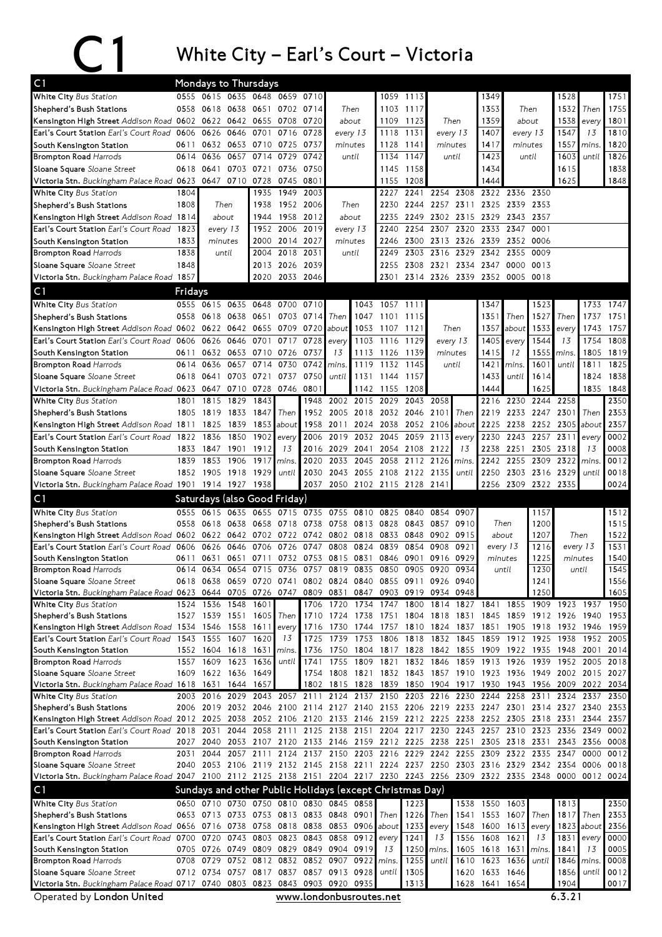## C1 White City – Earl's Court – Victoria

| C1                                                                                                                             | <b>Mondays to Thursdays</b> |                                                          |              |              |                              |                                |                               |              |                   |              |                                                                          |               |                               |             |                                                                                           |                |                   |              |
|--------------------------------------------------------------------------------------------------------------------------------|-----------------------------|----------------------------------------------------------|--------------|--------------|------------------------------|--------------------------------|-------------------------------|--------------|-------------------|--------------|--------------------------------------------------------------------------|---------------|-------------------------------|-------------|-------------------------------------------------------------------------------------------|----------------|-------------------|--------------|
| White City Bus Station                                                                                                         |                             | 0555 0615 0635 0648                                      |              |              |                              | 0659 0710                      |                               |              | 1059              | 1113         |                                                                          |               | 1349                          |             |                                                                                           | 1528           |                   | 1751         |
| Shepherd's Bush Stations                                                                                                       |                             | 0558 0618                                                | 0638         | 0651         |                              | 0702 0714                      |                               | Then         | 1103              | 1117         |                                                                          |               | 1353                          |             | Then                                                                                      | 1532           | Then              | 1755         |
| Kensington High Street Addison Road 0602 0622 0642                                                                             |                             |                                                          |              | 0655         | 0708                         | 0720                           | about                         |              | 1109              | 1123         | Then                                                                     |               | 1359                          |             | about                                                                                     | 1538           | every             | 1801         |
| Earl's Court Station Earl's Court Road                                                                                         | 0606                        | 0626                                                     | 0646         | 0701         | 0716                         | 0728                           | every 13                      |              | 1118              | 1131         | every 13                                                                 |               | 1407                          |             | every 13                                                                                  | 1547           | 13                | 1810         |
| South Kensington Station                                                                                                       | 0611                        | 0632                                                     | 0653         | 0710 0725    |                              | 0737                           | minutes                       |              | 1128              | 1141<br>1147 | minutes                                                                  |               | 1417<br>1423                  |             | minutes                                                                                   | 1557<br>1603   | mins.             | 1820         |
| <b>Brompton Road Harrods</b><br>Sloane Square Sloane Street                                                                    | 0614<br>0618                | 0636<br>0641                                             | 0657<br>0703 | 0714<br>0721 | 0729<br>0736                 | 0742<br>0750                   |                               | until        | 1134<br>1145      | 1158         |                                                                          | until         | 1434                          |             | until                                                                                     | 1615           | until             | 1826<br>1838 |
| Victoria Stn. Buckingham Palace Road 0623                                                                                      |                             | 0647                                                     | 0710         | 0728         | 0745                         | 0801                           |                               |              | 1155              | 1208         |                                                                          |               | 1444                          |             |                                                                                           | 1625           |                   | 1848         |
| White City Bus Station                                                                                                         | 1804                        |                                                          |              | 1935         | 1949                         | 2003                           |                               |              | 2227              | 2241         | 2254                                                                     | 2308          | 2322                          | 2336        | 2350                                                                                      |                |                   |              |
| Shepherd's Bush Stations                                                                                                       | 1808                        | Then                                                     |              | 1938         |                              | 1952 2006                      | Then                          |              | 2230              | 2244         | 2257 2311                                                                |               |                               | 2325 2339   | 2353                                                                                      |                |                   |              |
| Kensington High Street Addison Road 1814                                                                                       |                             |                                                          | about        | 1944         |                              | 1958 2012                      | about                         |              | 2235              | 2249         | 2302 2315                                                                |               | 2329 2343                     |             | 2357                                                                                      |                |                   |              |
| <b>Earl's Court Station</b> Earl's Court Road                                                                                  | 1823                        |                                                          | every 13     | 1952         | 2006                         | 2019                           | every 13                      |              | 2240              | 2254         | 2307                                                                     | 2320          | 2333                          | 2347        | 0001                                                                                      |                |                   |              |
| South Kensington Station                                                                                                       | 1833                        |                                                          | minutes      | 2000         | 2014                         | 2027                           | minutes                       |              | 2246              | 2300         | 2313                                                                     | 2326          | 2339                          | 2352 0006   |                                                                                           |                |                   |              |
| <b>Brompton Road Harrods</b>                                                                                                   | 1838                        |                                                          | until        | 2004         | 2018                         | 2031                           |                               | until        | 2249              | 2303         | 2316                                                                     | 2329          | 2342                          | 2355        | 0009                                                                                      |                |                   |              |
| Sloane Square Sloane Street                                                                                                    | 1848                        |                                                          |              |              | 2013 2026 2039               |                                |                               |              | 2255              |              | 2308 2321 2334                                                           |               | 2347                          |             | 0000 0013                                                                                 |                |                   |              |
| Victoria Stn. Buckingham Palace Road 1857                                                                                      |                             |                                                          |              | 2020         | 2033 2046                    |                                |                               |              | 2301              |              |                                                                          |               | 2314 2326 2339 2352 0005 0018 |             |                                                                                           |                |                   |              |
| C <sub>1</sub>                                                                                                                 | Fridays                     |                                                          |              |              |                              |                                |                               |              |                   |              |                                                                          |               |                               |             |                                                                                           |                |                   |              |
| White City Bus Station                                                                                                         |                             | 0555 0615                                                | 0635         | 0648         | 0700                         | 0710                           |                               | 1043         | 1057 1111         |              |                                                                          |               | 1347                          |             | 1523                                                                                      |                | 1733              | 1747         |
| Shepherd's Bush Stations                                                                                                       | 0558                        | 0618                                                     | 0638         | 0651         |                              | 0703 0714                      | Then                          | 1047         | 1101              | 1115         |                                                                          |               | 1351                          | Then        | 1527                                                                                      | Then           | 1737              | 1751         |
| Kensington High Street Addison Road 0602 0622 0642 0655                                                                        |                             |                                                          |              |              |                              | 0709 0720                      | about                         |              | 1053 1107         | 1121         | Then                                                                     |               | 1357                          | about       | 1533                                                                                      | every          | 1743              | 1757         |
| Earl's Court Station Earl's Court Road 0606                                                                                    | 0611                        | 0626<br>0632                                             | 0646<br>0653 | 0701<br>0710 | 0717<br>0726                 | 0728<br>0737                   | every<br>13                   | 1113         | 1103 1116<br>1126 | 1129         | minutes                                                                  | every 13      | 1405                          | every<br>12 | 1544<br>1555                                                                              | 13             | 1754<br>1805      | 1808<br>1819 |
| South Kensington Station<br><b>Brompton Road Harrods</b>                                                                       | 0614                        | 0636                                                     | 0657         | 0714         | 0730                         | 0742                           | mins                          | 1119         | 1132              | 1139<br>1145 |                                                                          | until         | 1415<br>1421                  | mins.       | 1601                                                                                      | mins.<br>until | 1811              | 1825         |
| Sloane Square Sloane Street                                                                                                    | 0618                        | 0641                                                     |              | 0703 0721    | 0737                         | 0750                           | until                         |              | 1131 1144         | 1157         |                                                                          |               | 1433                          | until       | 1614                                                                                      |                | 1824              | 1838         |
| Victoria Stn. Buckingham Palace Road 0623 0647                                                                                 |                             |                                                          |              | 0710 0728    | 0746 0801                    |                                |                               |              | 1142 1155         | 1208         |                                                                          |               | 1444                          |             | 1625                                                                                      |                | 1835              | 1848         |
| White City Bus Station                                                                                                         | 1801                        | 1815                                                     | 1829         | 1843         |                              | 1948                           | 2002                          | 2015 2029    |                   | 2043         | 2058                                                                     |               | 2216                          | 2230        | 2244 2258                                                                                 |                |                   | 2350         |
| Shepherd's Bush Stations                                                                                                       |                             | 1805 1819                                                | 1833         | 1847         | Then                         | 1952                           | 2005                          |              | 2018 2032         | 2046         | 2101                                                                     | Then <b>I</b> | 2219                          |             | 2233 2247                                                                                 | 2301           | Then              | 2353         |
| Kensington High Street Addison Road 1811                                                                                       |                             | 1825                                                     | 1839         | 1853         | about                        | 1958                           | 2011                          |              | 2024 2038         |              | 2052 2106                                                                | about         | 2225                          | 2238        | 2252 2305                                                                                 |                | about             | 2357         |
| Earl's Court Station Earl's Court Road                                                                                         | 1822                        | 1836                                                     | 1850         | 1902         | every                        | 2006                           | 2019                          |              | 2032 2045         | 2059         | 2113                                                                     | every         | 2230                          | 2243        | 2257 2311                                                                                 |                | every             | 0002         |
| South Kensington Station                                                                                                       |                             | 1833 1847                                                | 1901         | 1912         | 13                           | 2016                           | 2029                          | 2041         | 2054              | 2108         | 2122                                                                     | 13            | 2238                          | 2251        | 2305                                                                                      | 2318           | 13                | 0008         |
| <b>Brompton Road Harrods</b>                                                                                                   | 1839                        | 1853                                                     | 1906         | 1917         | mins                         | 2020                           | 2033                          | 2045         | 2058              | 2112         | 2126                                                                     | mins.         | 2242                          | 2255        | 2309                                                                                      | 2322           | mins.             | 0012         |
| Sloane Square Sloane Street                                                                                                    |                             | 1852 1905                                                | 1918         | 1929         | until                        | 2030                           | 2043                          |              | 2055 2108         | 2122         | 2135                                                                     | until         | 2250                          |             | 2303 2316 2329                                                                            |                | until             | 0018         |
| Victoria Stn. Buckingham Palace Road 1901 1914 1927 1938                                                                       |                             |                                                          |              |              |                              |                                | 2037 2050 2102 2115 2128 2141 |              |                   |              |                                                                          |               |                               |             | 2256 2309 2322 2335                                                                       |                |                   | 0024         |
| C <sub>1</sub>                                                                                                                 |                             |                                                          |              |              | Saturdays (also Good Friday) |                                |                               |              |                   |              |                                                                          |               |                               |             |                                                                                           |                |                   |              |
|                                                                                                                                |                             |                                                          |              |              |                              |                                |                               |              |                   |              |                                                                          |               |                               |             |                                                                                           |                |                   |              |
| White City Bus Station                                                                                                         |                             | 0555 0615                                                | 0635         | 0655         |                              | 0715 0735 0755                 |                               | 0810 0825    |                   | 0840         | 0854 0907                                                                |               |                               |             | 1157                                                                                      |                |                   | 1512         |
| Shepherd's Bush Stations                                                                                                       | 0558                        | 0618                                                     | 0638         | 0658         | 0718                         | 0738                           | 0758                          | 0813 0828    |                   | 0843         | 0857                                                                     | 0910          | Then                          |             | 1200                                                                                      |                |                   | 1515         |
| Kensington High Street Addison Road 0602 0622 0642                                                                             |                             |                                                          |              | 0702 0722    |                              | 0742                           | 0802 0818 0833                |              |                   |              | 0848 0902 0915                                                           |               | about                         |             | 1207                                                                                      | Then           |                   | 1522         |
| Earl's Court Station Earl's Court Road                                                                                         | 0606<br>0611                | 0626                                                     | 0646         | 0706<br>0711 | 0726                         | 0747<br>0753                   | 0808                          | 0824         | 0839              | 0854<br>0901 | 0908<br>0916                                                             | 0921<br>0929  | every 13                      |             | 1216                                                                                      | every 13       |                   | 1531<br>1540 |
| South Kensington Station<br><b>Brompton Road Harrods</b>                                                                       | 0614                        | 0631<br>0634                                             | 0651<br>0654 | 0715         | 0732<br>0736                 | 0757                           | 0815<br>0819                  | 0831<br>0835 | 0846<br>0850      | 0905         | 0920                                                                     | 0934          | minutes<br>until              |             | 1225<br>1230                                                                              | minutes        | until             | 1545         |
| Sloane Square Sloane Street                                                                                                    |                             | 0618 0638 0659 0720 0741                                 |              |              |                              |                                |                               |              |                   |              | 0802 0824 0840 0855 0911 0926 0940                                       |               |                               |             | 1241                                                                                      |                |                   | 1556         |
| Victoria Stn. Buckingham Palace Road 0623 0644 0705 0726 0747                                                                  |                             |                                                          |              |              |                              | 0809                           | 0831                          | 0847         |                   |              | 0903 0919 0934 0948                                                      |               |                               |             | 1250                                                                                      |                |                   | 1605         |
| White City Bus Station                                                                                                         |                             | 1524 1536 1548                                           |              | 1601         |                              | 1706                           | 1720                          | 1734         | 1747              |              | 1800 1814                                                                | 1827 1841     |                               |             | 1855 1909 1923 1937                                                                       |                |                   | 1950         |
| Shepherd's Bush Stations                                                                                                       |                             | 1527 1539 1551                                           |              | 1605         | Then                         | 1710                           | 1724                          | 1738 1751    |                   |              | 1804 1818 1831                                                           |               |                               |             | 1845 1859 1912 1926 1940                                                                  |                |                   | 1953         |
| Kensington High Street Addison Road 1534 1546 1558                                                                             |                             |                                                          |              | 1611         | every                        | 1716                           | 1730                          |              | 1744 1757         |              | 1810 1824 1837 1851                                                      |               |                               |             | 1905 1918                                                                                 | 1932 1946      |                   | 1959         |
| Earl's Court Station Earl's Court Road 1543 1555                                                                               |                             |                                                          | 1607         | 1620         | 13                           | 1725                           | 1739                          |              | 1753 1806         |              | 1818 1832 1845                                                           |               | 1859 1912 1925                |             |                                                                                           | 1938           | 1952              | 2005         |
| South Kensington Station<br><b>Brompton Road Harrods</b>                                                                       |                             | 1552 1604 1618 1631<br>1557 1609                         | 1623         | 1636         | mins.<br>until               | 1736<br>1741                   | 1750<br>1755                  | 1809         | 1821              |              | 1832 1846                                                                | 1859          | 1913 1926                     |             | 1804 1817 1828 1842 1855 1909 1922 1935 1948 2001<br>1939                                 | 1952 2005      |                   | 2014<br>2018 |
| Sloane Square Sloane Street                                                                                                    |                             | 1609 1622 1636 1649                                      |              |              |                              | 1754                           | 1808                          |              |                   |              |                                                                          |               |                               |             | 1821 1832 1843 1857 1910 1923 1936 1949 2002 2015 2027                                    |                |                   |              |
| Victoria Stn. Buckingham Palace Road 1618 1631 1644 1657                                                                       |                             |                                                          |              |              |                              |                                | 1802 1815 1828 1839           |              |                   |              |                                                                          |               |                               |             | 1850 1904 1917 1930 1943 1956 2009 2022 2034                                              |                |                   |              |
| White City Bus Station                                                                                                         |                             | 2003 2016                                                | 2029         |              | 2043 2057 2111               |                                | 2124                          | 2137         | 2150              |              | 2203 2216 2230                                                           |               | 2244                          |             | 2258 2311                                                                                 | 2324           | 2337              | 2350         |
| Shepherd's Bush Stations                                                                                                       |                             |                                                          |              |              |                              |                                |                               |              |                   |              |                                                                          |               |                               |             | 2006 2019 2032 2046 2100 2114 2127 2140 2153 2206 2219 2233 2247 2301 2314 2327 2340      |                |                   | 2353         |
| Kensington High Street Addison Road 2012 2025 2038 2052 2106 2120 2133 2146 2159 2212 2225 2238 2252 2305 2318 2331            |                             |                                                          |              |              |                              |                                |                               |              |                   |              |                                                                          |               |                               |             |                                                                                           |                | 2344              | 2357         |
| Earl's Court Station Earl's Court Road 2018 2031                                                                               |                             |                                                          | 2044         |              |                              |                                |                               |              |                   |              |                                                                          |               |                               |             | 2058 2111 2125 2138 2151 2204 2217 2230 2243 2257 2310 2323 2336                          |                | 2349              | 0002         |
| South Kensington Station<br><b>Brompton Road Harrods</b>                                                                       | 2027<br>2031                | 2040<br>2044                                             | 2053         | 2057 2111    |                              | 2124 2137 2150                 |                               |              |                   |              | 2107 2120 2133 2146 2159 2212 2225 2238 2251<br>2203 2216 2229 2242 2255 |               | 2309                          |             | 2305 2318 2331<br>2322 2335 2347                                                          |                | 2343 2356<br>0000 | 0008<br>0012 |
| Sloane Square Sloane Street                                                                                                    |                             |                                                          |              |              |                              |                                |                               |              |                   |              |                                                                          |               |                               |             | 2040 2053 2106 2119 2132 2145 2158 2211 2224 2237 2250 2303 2316 2329 2342 2354 0006 0018 |                |                   |              |
| Victoria Stn. Buckingham Palace Road 2047 2100 2112 2125 2138 2151 2204 2217 2230 2243 2256 2309 2322 2335 2348 0000 0012 0024 |                             |                                                          |              |              |                              |                                |                               |              |                   |              |                                                                          |               |                               |             |                                                                                           |                |                   |              |
| C <sub>1</sub>                                                                                                                 |                             | Sundays and other Public Holidays (except Christmas Day) |              |              |                              |                                |                               |              |                   |              |                                                                          |               |                               |             |                                                                                           |                |                   |              |
| White City Bus Station                                                                                                         | 0650                        | 0710                                                     |              | 0730 0750    |                              | 0810 0830 0845                 |                               | 0858         |                   | 1223         |                                                                          |               | 1538 1550 1603                |             |                                                                                           | 1813           |                   | 2350         |
| Shepherd's Bush Stations                                                                                                       |                             | 0653 0713 0733 0753 0813 0833 0848 0901                  |              |              |                              |                                |                               |              | Then              | 1226         | Then                                                                     | 1541          | 1553 1607                     |             | Then                                                                                      | 1817           | Then              | 2353         |
| Kensington High Street Addison Road 0656 0716 0738                                                                             |                             |                                                          |              |              |                              | 0758 0818 0838 0853 0906 about |                               |              |                   | 1233         | every                                                                    | 1548          |                               | 1600 1613   | every                                                                                     | 1823           | about             | 2356         |
| Earl's Court Station Earl's Court Road 0700 0720                                                                               |                             |                                                          | 0743         |              |                              | 0803 0823 0843 0858            |                               | 0912         | every             | 1241         | 13                                                                       | 1556          | 1608 1621                     |             | 13                                                                                        | 1831           | every             | 0000         |
| South Kensington Station                                                                                                       |                             | 0705 0726 0749 0809 0829 0849 0904 0919                  |              |              |                              |                                |                               |              | 13                | 1250         | mins.                                                                    | 1605          | 1618 1631                     |             | mins.                                                                                     | 1841           | 13                |              |
| <b>Brompton Road Harrods</b>                                                                                                   |                             | 0708 0729 0752 0812 0832 0852 0907                       |              |              |                              |                                |                               | 0922         | mins.<br>until    | 1255         | until                                                                    | 1610          |                               | 1623 1636   | until                                                                                     | 1846           | mins.<br>until    | 0005<br>0008 |
| Sloane Square Sloane Street<br>Victoria Stn. Buckingham Palace Road 0717 0740 0803 0823 0843                                   |                             | 0712 0734 0757 0817 0837 0857 0913 0928                  |              |              |                              |                                | 0903 0920                     | 0935         |                   | 1305<br>1313 |                                                                          | 1620<br>1628  | 1633 1646<br>1641 1654        |             |                                                                                           | 1856<br>1904   |                   | 0012<br>0017 |